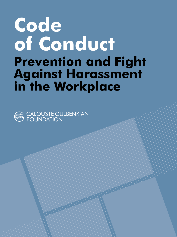# Code of Conduct Prevention and Fight Against Harassment in the Workplace



CALOUSTE GULBENKIAN<br>FOUNDATION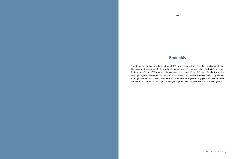# Preamble

 $\perp$ 

The Calouste Gulbenkian Foundation (CGF), while complying with the provisions of Law No. 73/2016 of August 16, which introduced changes to the Portuguese Labour Code (LC), approved by Law No. 7/2009, of February 12, implemented the present Code of Conduct for the Prevention and Fight against Harassment in the Workplace. This Code is meant to reflect the basic guidelines for employees, fellows, interns, volunteers and other entities or persons engaged with the CGF in the context of procedures for the acquisition of goods, provision of services or the allocation of grants.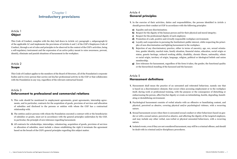# Chapter I Introductory provisions

# Article 1 **Object**

This Code of Conduct, complies with the duty laid down in Article 127, paragraph 1, subparagraph k) of the applicable LC and implements the provisions of Articles 6 and 7 of the CGF's Employees Code of Conduct, through a set of rules and principles to be observed in the context of the CGF's activities, being a self-regulatory instrument and the expression of an active policy meant to raise awareness, prevent, identify, eliminate and punish situations of harassment in the workplace.

## Article 2 Scope

This Code of Conduct applies to the members of the Board of Directors, all of the Foundation's corporate bodies and to every person that carries out his/her professional activity in the CGF or that collaborates with the Foundation in any way, regardless of the relevant contractual bound.

## Article 3 Enforcement to professional and commercial relations

- 1. This code should be mentioned in employment agreements, grant agreements, internship agreements, and in particular, contracts for the acquisition of goods, provision of services and allocation of subsidies and disclosed to the persons or entities with whom the CGF has a contractual relationship with.
- 2. The entities and/or persons with whom the Foundation executed a contract with or the beneficiaries of subsidies or grants, must act in accordance with the general principles undertaken by the CGF, in particular, the principle of zero tolerance regarding harassment.
- 3. All contracts for scholarships, internships, volunteering, acquisition of goods, provision of services or allocation of subsidies, must include a clause establishing the right ti terminate the agreement based on the breach of the CGF's general principles regarding this subject matter.

# Article 4 General principles

- 1. In the exercise of their activities, duties and responsibilities, the persons identified in Article 2 should govern their conduct at CGF in accordance with the following principles:
- a) Equality and non-discrimination;
- b) Respect for the dignity of the human person and for their physical and moral integrity;
- c) Respect for the professional dignity of each employee;
- d) Promotion of a safe, positive and civically responsible workplace environment;
- e) Loyalty and cooperation in pursuing the Institution's public interest, while respecting the principles of non-discrimination and fighting harassment in the workplace.
- f) Rejection of any discriminatory practice, either in terms of ancestry, age, sex, sexual orientation, gender identity, marital state, family situation, financial status, education, social origin or status, genetic heritage, reduced working ability, disability, chronic illness, nationality, ethnic or racial origin, territory of origin, language, religion, political or ideological beliefs and union membership;
- g) Zero tolerance for harassment, regardless of the form it takes, the gender, the functional quality or the hierarchical standing of the harassed and the harasser.

#### Article 5 Harassment definitions

- 1. Harassment shall mean the practice of an unwanted and reiterated behaviour, namely one that is based on a discriminatory element, that occurs when accessing employment or in the workplace itself, during work or professional training, with the purpose or the consequence of disturbing or embarrassing the person, affect his/her dignity or create an intimidating, hostile, degrading, humiliating or destabilizing environment.
- 2. Psychological harassment consists of verbal attacks with an offensive or humiliating content, and physical, perceived as abusive, covering physical and/or psychological violence, with a recurring nature.
- 3. Sexual harassment occurs when there is unwanted sexual conduct or other behaviours based on gender or with a sexual nature, perceived as abusive, and affecting the dignity of the targeted employee, and may include any other verbal, non-verbal or physical unwanted behaviours, with a recurring nature.
- 4. Isolated events, even if they are not considered harassment, may still be a criminal offense, and should be dealt with in criminal and/or disciplinary procedures.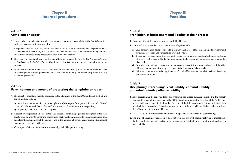# Chapter II Internal procedure

## Article 6 Complaint or Report

- 1. Anyone who is the subject of workplace harassment must submit a complaint to the Audit Committee, under the terms of the following article.
- 2. Any person who is aware of any malpractice related to situations of harassment or the practice of harassment should report them, in accordance with the following article, collaborating in any potential and subsequent disciplinary proceedings or criminal investigation.
- 3. The report or complaint can also be submitted, as provided by law, to the "*Autoridade para as Condições de Trabalho*" (Working Conditions Authority), that provides an email address for this purpose.
- 4. The report or complaint may also be submitted, as provided by law, to the Public Prosecutor's Office or the competent criminal police body, in case of criminal liability and for the purpose of initiating a criminal procedure.

#### Article 7

#### Form, content and means of processing the complaint or report

- 1. The report or complaint must be addressed to the Chairman of the Audit Committee of the CGF and can be made as follows::
- a) By written communication, upon completion of the report form present in the links [linkGO](https://gulbenkian365.sharepoint.com/_forms/default.aspx)  or [linkWebsite,](https://gulbenkian.pt/en/prevention-policies/) available on the CGF's Intranet or on the CGF´s website, respectively.
- b) In person, at a date and time to be agreed.
- 2. A report or complaint shall be as detailed as possible, containing a precise description of the facts constituting or likely to constitute harassment, particularly with regard to the circumstances, time and place thereof, name(s) of the victim(s) and of the harasser(s), as well as any existing testimonial, documentary or expert evidence.
- 3. If the report, claim or complaint is made verbally, it shall be put in writing.

# Chapter III **Penalties**

## Article 8 Prohibition of harassment and liability of the harasser

- 1. Harassment is intolerable and expressly prohibited by law.
- 2. Whoever harasses another person commits an illegal act with:
- a) Civil consequences, being required to indemnify the harassed for both damages to property and for damages for pain and suffering, as provided by law;
- b) Disciplinary consequences, if carried out by employees, in a professional context, under the terms of articles 328 et seq. of the Portuguese Labour Code, which may constitute fair grounds for dismissal;
- c) Administrative offense consequences, harassment constitutes a very serious administrative offense, pursuant to Article 29, paragraph 5 of the Portuguese Labour Code;
- d) Criminal consequences, if the requirements of criminal law are met, namely for crimes of stalking and sexual harassment.

#### Article 9

## Disciplinary proceedings, civil liability, criminal liability and administrative offense liability

- 1. After ascertaining the reported facts, and whenever the alleged harasser identified in the report/ complaint is an employee subjected to the CGF's disciplinary power, the President of the Audit Committee shall send a report to the Board of Directors of the CGF, proposing the filing or the initiation of a disciplinary procedure, depending on whether or not there is evidence likely to indicate a situation of harassment, as provided by law.
- 2. The CGF's Board of Directors shall nominate a rapporteur for the disciplinary proceedings.
- 3. The filing of disciplinary proceedings does not prejudice any civil, administrative or criminal liability that may be incurred, in relation to any addressees of this Code who commit infractions likely to incur liability.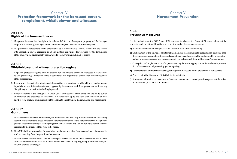# Chapter IV Protection framework for the harassed person, complainant, whistleblower and witnesses

## Article 10 Rights of the harassed person

- 1. The person harassed has the right to be indemnified for both damages to property and for damages for pain and suffering, arising from the harassment he/she incurred, as provided by law.
- 2. The practice of harassment by the employer or by a representative thereof, reported to the service with inspection powers regarding to labour matters, constitutes fair grounds for the termination of the employment agreement by the harassed person working on behalf of others.

#### Article 11

#### Whistleblower and witness protection regime

- 1. A specific protection regime shall be assured for the whistleblower and witnesses in harassment related proceedings, namely in terms of confidentiality, impartiality, efficiency and expeditiousness of the proceedings.
- 2. Except when they act with intent, special protection is guaranteed to whistleblowers and witnesses in judicial or administrative offenses triggered by harassment, and these people cannot incur any disciplinary action until a final ruling is passed.
- 3. Under the terms of the Portuguese Labour Code, dismissals or other sanctions applied to punish an infraction are presumed to be abusive, if it takes place up to one year after the report or after another form of claim or exercise of rights relating to equality, non-discrimination and harassment.

#### Article 12 **Guarantees**

- 1. The whistleblower and the witnesses he/she names shall not incur any disciplinary action, unless they act with malicious intent, based on facts or statements contained in the statements of the disciplinary, judicial or administrative proceeding triggered by harassment until a final ruling is passed, without prejudice to the exercise of the right to be heard.
- 2. The CGF shall be responsible for repairing the damages arising from occupational diseases of its workers resulting from the practice of harassment.
- 3. The addressees to this Code of Conduct who report breaches to which they have become aware in the exercise of their duties or because of them, cannot be harmed, in any way, being guaranteed anonymity until charges are brought.

# Chapter V Harassment Prevention

## Article 13 Preventive measures

It is incumbent upon the CGF Board of Directors, or to whoever the Board of Directors delegates this power, to implement tangible actions to prevent workplace harassment, namely:

- a) Regular assessment with employees and Directors of all the working units;
- b) Confirmation of the existence of internal mechanisms to communicate irregularities, ensuring that these mechanisms comply with the legal regulations, in particular, on the confidentiality of the information processing process and the existence of reprisals against the whistleblowers/complainants;
- c) Conception and implementation of a specific and regular training programme focused on the prevention of harassment and promoting gender equality;
- d) Development of an information strategy and specific disclosure on the prevention of harassment;
- e) Proceed with the disclosure of this Code to its recipients;
- f) Employees' admission process must include the statement of knowledge and acceptance of the rules in force in the present Code of Conduct.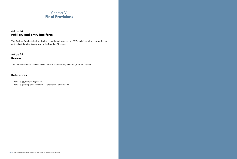# Chapter VI Final Provisions

# Article 14 Publicity and entry into force

This Code of Conduct shall be disclosed to all employees on the CGF's website and becomes effective on the day following its approval by the Board of Directors.

Article 15 Review

This Code must be revised whenever there are supervening facts that justify its review.

# References

– Law No. 73/2017, of August 16

– Law No. 7/2009, of February 12 – Portuguese Labour Code